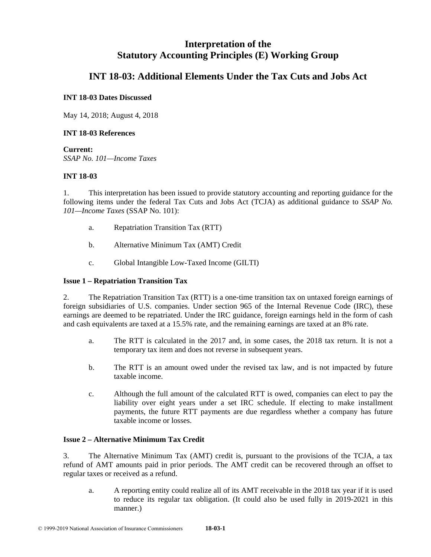# **Interpretation of the Statutory Accounting Principles (E) Working Group**

# **INT 18-03: Additional Elements Under the Tax Cuts and Jobs Act**

# **INT 18-03 Dates Discussed**

May 14, 2018; August 4, 2018

# **INT 18-03 References**

**Current:**  *SSAP No. 101—Income Taxes* 

# **INT 18-03**

1. This interpretation has been issued to provide statutory accounting and reporting guidance for the following items under the federal Tax Cuts and Jobs Act (TCJA) as additional guidance to *SSAP No. 101—Income Taxes* (SSAP No. 101):

- a. Repatriation Transition Tax (RTT)
- b. Alternative Minimum Tax (AMT) Credit
- c. Global Intangible Low-Taxed Income (GILTI)

# **Issue 1 – Repatriation Transition Tax**

2. The Repatriation Transition Tax (RTT) is a one-time transition tax on untaxed foreign earnings of foreign subsidiaries of U.S. companies. Under section 965 of the Internal Revenue Code (IRC), these earnings are deemed to be repatriated. Under the IRC guidance, foreign earnings held in the form of cash and cash equivalents are taxed at a 15.5% rate, and the remaining earnings are taxed at an 8% rate.

- a. The RTT is calculated in the 2017 and, in some cases, the 2018 tax return. It is not a temporary tax item and does not reverse in subsequent years.
- b. The RTT is an amount owed under the revised tax law, and is not impacted by future taxable income.
- c. Although the full amount of the calculated RTT is owed, companies can elect to pay the liability over eight years under a set IRC schedule. If electing to make installment payments, the future RTT payments are due regardless whether a company has future taxable income or losses.

## **Issue 2 – Alternative Minimum Tax Credit**

3. The Alternative Minimum Tax (AMT) credit is, pursuant to the provisions of the TCJA, a tax refund of AMT amounts paid in prior periods. The AMT credit can be recovered through an offset to regular taxes or received as a refund.

a. A reporting entity could realize all of its AMT receivable in the 2018 tax year if it is used to reduce its regular tax obligation. (It could also be used fully in 2019-2021 in this manner.)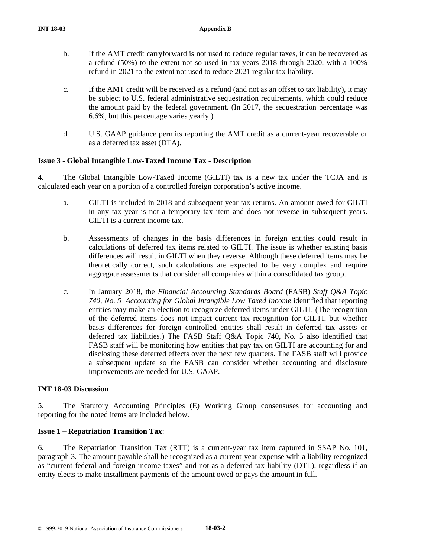- b. If the AMT credit carryforward is not used to reduce regular taxes, it can be recovered as a refund (50%) to the extent not so used in tax years 2018 through 2020, with a 100% refund in 2021 to the extent not used to reduce 2021 regular tax liability.
- c. If the AMT credit will be received as a refund (and not as an offset to tax liability), it may be subject to U.S. federal administrative sequestration requirements, which could reduce the amount paid by the federal government. (In 2017, the sequestration percentage was 6.6%, but this percentage varies yearly.)
- d. U.S. GAAP guidance permits reporting the AMT credit as a current-year recoverable or as a deferred tax asset (DTA).

# **Issue 3 - Global Intangible Low-Taxed Income Tax - Description**

4. The Global Intangible Low-Taxed Income (GILTI) tax is a new tax under the TCJA and is calculated each year on a portion of a controlled foreign corporation's active income.

- a. GILTI is included in 2018 and subsequent year tax returns. An amount owed for GILTI in any tax year is not a temporary tax item and does not reverse in subsequent years. GILTI is a current income tax.
- b. Assessments of changes in the basis differences in foreign entities could result in calculations of deferred tax items related to GILTI. The issue is whether existing basis differences will result in GILTI when they reverse. Although these deferred items may be theoretically correct, such calculations are expected to be very complex and require aggregate assessments that consider all companies within a consolidated tax group.
- c. In January 2018, the *Financial Accounting Standards Board* (FASB) *Staff Q&A Topic 740, No. 5 Accounting for Global Intangible Low Taxed Income* identified that reporting entities may make an election to recognize deferred items under GILTI. (The recognition of the deferred items does not impact current tax recognition for GILTI, but whether basis differences for foreign controlled entities shall result in deferred tax assets or deferred tax liabilities.) The FASB Staff Q&A Topic 740, No. 5 also identified that FASB staff will be monitoring how entities that pay tax on GILTI are accounting for and disclosing these deferred effects over the next few quarters. The FASB staff will provide a subsequent update so the FASB can consider whether accounting and disclosure improvements are needed for U.S. GAAP.

## **INT 18-03 Discussion**

5. The Statutory Accounting Principles (E) Working Group consensuses for accounting and reporting for the noted items are included below.

## **Issue 1 – Repatriation Transition Tax**:

6. The Repatriation Transition Tax (RTT) is a current-year tax item captured in SSAP No. 101, paragraph 3. The amount payable shall be recognized as a current-year expense with a liability recognized as "current federal and foreign income taxes" and not as a deferred tax liability (DTL), regardless if an entity elects to make installment payments of the amount owed or pays the amount in full.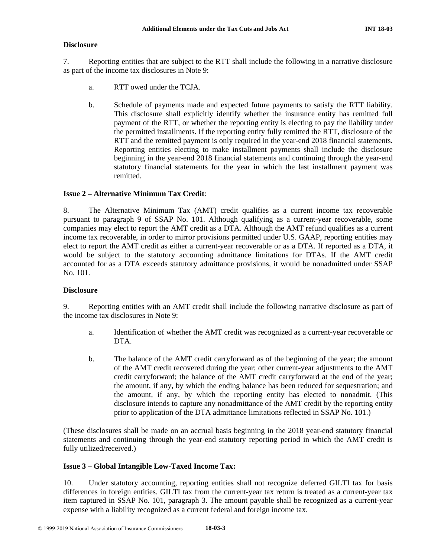#### **Disclosure**

7. Reporting entities that are subject to the RTT shall include the following in a narrative disclosure as part of the income tax disclosures in Note 9:

- a. RTT owed under the TCJA.
- b. Schedule of payments made and expected future payments to satisfy the RTT liability. This disclosure shall explicitly identify whether the insurance entity has remitted full payment of the RTT, or whether the reporting entity is electing to pay the liability under the permitted installments. If the reporting entity fully remitted the RTT, disclosure of the RTT and the remitted payment is only required in the year-end 2018 financial statements. Reporting entities electing to make installment payments shall include the disclosure beginning in the year-end 2018 financial statements and continuing through the year-end statutory financial statements for the year in which the last installment payment was remitted.

#### **Issue 2 – Alternative Minimum Tax Credit**:

8. The Alternative Minimum Tax (AMT) credit qualifies as a current income tax recoverable pursuant to paragraph 9 of SSAP No. 101. Although qualifying as a current-year recoverable, some companies may elect to report the AMT credit as a DTA. Although the AMT refund qualifies as a current income tax recoverable, in order to mirror provisions permitted under U.S. GAAP, reporting entities may elect to report the AMT credit as either a current-year recoverable or as a DTA. If reported as a DTA, it would be subject to the statutory accounting admittance limitations for DTAs. If the AMT credit accounted for as a DTA exceeds statutory admittance provisions, it would be nonadmitted under SSAP No. 101.

#### **Disclosure**

9. Reporting entities with an AMT credit shall include the following narrative disclosure as part of the income tax disclosures in Note 9:

- a. Identification of whether the AMT credit was recognized as a current-year recoverable or DTA.
- b. The balance of the AMT credit carryforward as of the beginning of the year; the amount of the AMT credit recovered during the year; other current-year adjustments to the AMT credit carryforward; the balance of the AMT credit carryforward at the end of the year; the amount, if any, by which the ending balance has been reduced for sequestration; and the amount, if any, by which the reporting entity has elected to nonadmit. (This disclosure intends to capture any nonadmittance of the AMT credit by the reporting entity prior to application of the DTA admittance limitations reflected in SSAP No. 101.)

(These disclosures shall be made on an accrual basis beginning in the 2018 year-end statutory financial statements and continuing through the year-end statutory reporting period in which the AMT credit is fully utilized/received.)

#### **Issue 3 – Global Intangible Low-Taxed Income Tax:**

10. Under statutory accounting, reporting entities shall not recognize deferred GILTI tax for basis differences in foreign entities. GILTI tax from the current-year tax return is treated as a current-year tax item captured in SSAP No. 101, paragraph 3. The amount payable shall be recognized as a current-year expense with a liability recognized as a current federal and foreign income tax.